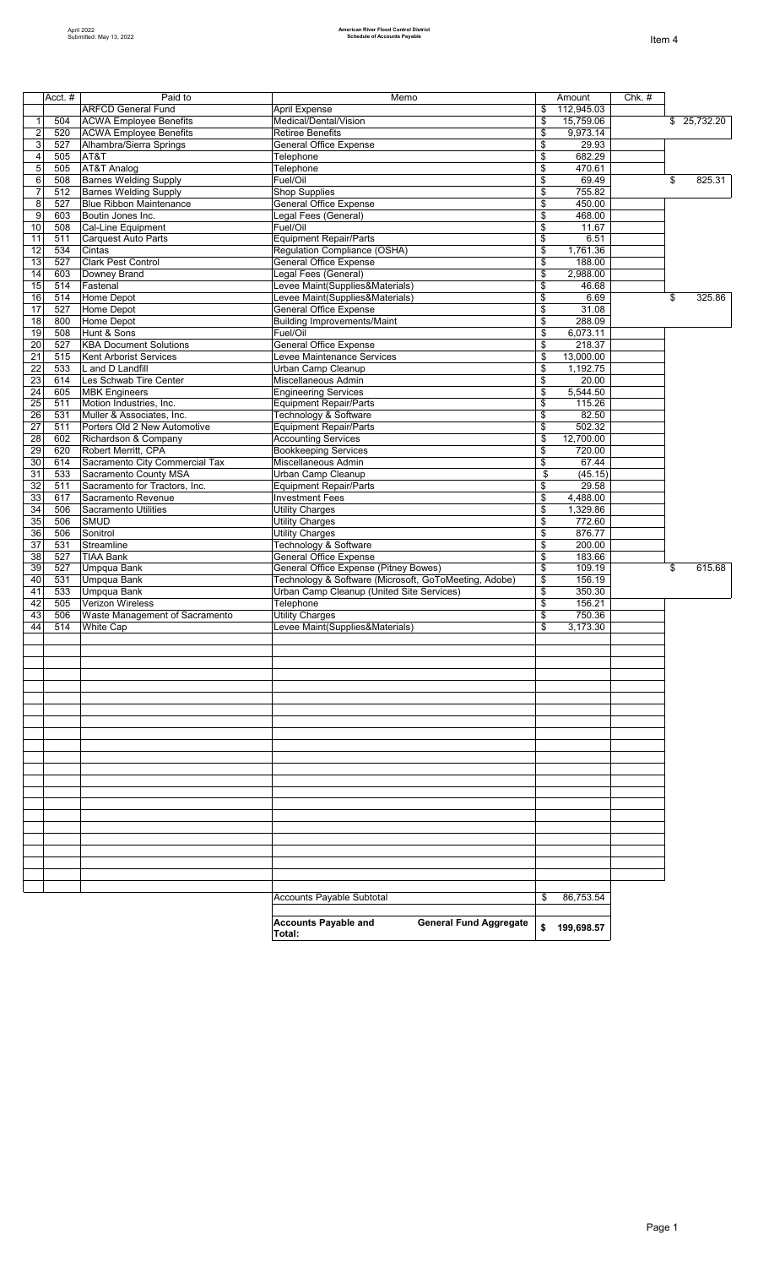|                |            | Paid to                                    |                                                                                                |          |                      |          |              |
|----------------|------------|--------------------------------------------|------------------------------------------------------------------------------------------------|----------|----------------------|----------|--------------|
|                | Acct. $#$  | <b>ARFCD General Fund</b>                  | Memo<br>April Expense                                                                          | \$       | Amount<br>112,945.03 | $Chk.$ # |              |
| $\overline{1}$ | 504        | <b>ACWA Employee Benefits</b>              | Medical/Dental/Vision                                                                          | \$       | 15,759.06            |          | \$ 25,732.20 |
| $\mathbf 2$    | 520        | <b>ACWA Employee Benefits</b>              | <b>Retiree Benefits</b>                                                                        | \$       | 9,973.14             |          |              |
| 3              | 527        | Alhambra/Sierra Springs                    | <b>General Office Expense</b>                                                                  | \$       | 29.93                |          |              |
| $\overline{4}$ | 505        | AT&T                                       | Telephone                                                                                      | \$       | 682.29               |          |              |
| 5              | 505        | AT&T Analog                                | Telephone                                                                                      | \$       | 470.61               |          |              |
| 6              | 508        | <b>Barnes Welding Supply</b>               | Fuel/Oil                                                                                       | \$       | 69.49                |          | \$<br>825.31 |
| $\overline{7}$ | 512        | <b>Barnes Welding Supply</b>               | Shop Supplies                                                                                  | \$       | 755.82               |          |              |
| 8              | 527        | <b>Blue Ribbon Maintenance</b>             | General Office Expense                                                                         | \$       | 450.00               |          |              |
| 9              | 603        | Boutin Jones Inc.                          | Legal Fees (General)                                                                           | \$       | 468.00               |          |              |
| 10             | 508        | Cal-Line Equipment                         | Fuel/Oil                                                                                       | \$       | 11.67                |          |              |
| 11             | 511        | Carquest Auto Parts                        | <b>Equipment Repair/Parts</b>                                                                  | \$       | 6.51                 |          |              |
| 12             | 534        | Cintas                                     | Regulation Compliance (OSHA)                                                                   | \$       | 1,761.36             |          |              |
| 13             | 527        | Clark Pest Control                         | <b>General Office Expense</b>                                                                  | \$       | 188.00               |          |              |
| 14             | 603        | Downey Brand                               | Legal Fees (General)                                                                           | \$       | 2,988.00             |          |              |
| 15             | 514        | Fastenal                                   | Levee Maint(Supplies&Materials)                                                                | \$       | 46.68                |          |              |
| 16             | 514        | Home Depot                                 | Levee Maint(Supplies&Materials)                                                                | \$       | 6.69                 |          | \$<br>325.86 |
| 17             | 527        | Home Depot                                 | <b>General Office Expense</b>                                                                  | \$       | 31.08                |          |              |
| 18             | 800        | Home Depot                                 | <b>Building Improvements/Maint</b>                                                             | \$       | 288.09               |          |              |
| 19             | 508        | Hunt & Sons                                | Fuel/Oil                                                                                       | \$       | 6,073.11             |          |              |
| 20             | 527        | <b>KBA Document Solutions</b>              | <b>General Office Expense</b>                                                                  | \$       | 218.37               |          |              |
| 21             | 515        | Kent Arborist Services                     | Levee Maintenance Services                                                                     | \$       | 13,000.00            |          |              |
| 22             | 533        | L and D Landfill                           | Urban Camp Cleanup                                                                             | \$       | 1,192.75             |          |              |
| 23             | 614        | Les Schwab Tire Center                     | Miscellaneous Admin                                                                            | \$       | 20.00                |          |              |
| 24             | 605        | <b>MBK Engineers</b>                       | <b>Engineering Services</b>                                                                    | \$       | 5,544.50             |          |              |
| 25             | 511        | Motion Industries, Inc.                    | <b>Equipment Repair/Parts</b>                                                                  | \$       | 115.26               |          |              |
| 26             | 531        | Muller & Associates, Inc.                  | Technology & Software                                                                          | \$       | 82.50                |          |              |
| 27             | 511        | Porters Old 2 New Automotive               | Equipment Repair/Parts                                                                         | \$       | 502.32               |          |              |
| 28             | 602        | Richardson & Company                       | <b>Accounting Services</b>                                                                     | \$       | 12,700.00            |          |              |
| 29             | 620        | Robert Merritt, CPA                        | <b>Bookkeeping Services</b>                                                                    | \$       | 720.00               |          |              |
| 30             | 614        | Sacramento City Commercial Tax             | Miscellaneous Admin                                                                            | \$       | 67.44                |          |              |
| 31             | 533        | Sacramento County MSA                      | Urban Camp Cleanup                                                                             | \$       | (45.15)              |          |              |
| 32             | 511        | Sacramento for Tractors, Inc.              | <b>Equipment Repair/Parts</b>                                                                  | \$       | 29.58                |          |              |
| 33             | 617        | Sacramento Revenue                         | <b>Investment Fees</b>                                                                         | \$       | 4,488.00             |          |              |
| 34<br>35       | 506        | <b>Sacramento Utilities</b><br><b>SMUD</b> | <b>Utility Charges</b>                                                                         | \$       | 1,329.86             |          |              |
|                | 506        | Sonitrol                                   | <b>Utility Charges</b>                                                                         | \$       | 772.60<br>876.77     |          |              |
| 36             | 506        |                                            | <b>Utility Charges</b>                                                                         | \$       |                      |          |              |
| 37             | 531        | Streamline                                 | Technology & Software<br><b>General Office Expense</b>                                         | \$       | 200.00               |          |              |
| 38             | 527        | <b>TIAA Bank</b>                           |                                                                                                | \$<br>\$ | 183.66               |          | \$<br>615.68 |
| 39<br>40       | 527<br>531 | Umpqua Bank<br>Umpqua Bank                 | General Office Expense (Pitney Bowes)<br>Technology & Software (Microsoft, GoToMeeting, Adobe) | \$       | 109.19<br>156.19     |          |              |
| 41             | 533        | Umpqua Bank                                | Urban Camp Cleanup (United Site Services)                                                      | \$       | 350.30               |          |              |
| 42             | 505        | Verizon Wireless                           | Telephone                                                                                      | \$       | 156.21               |          |              |
| 43             | 506        | Waste Management of Sacramento             | <b>Utility Charges</b>                                                                         | \$       | 750.36               |          |              |
| 44             | 514        | <b>White Cap</b>                           | Levee Maint(Supplies&Materials)                                                                | \$       | 3,173.30             |          |              |
|                |            |                                            |                                                                                                |          |                      |          |              |
|                |            |                                            |                                                                                                |          |                      |          |              |
|                |            |                                            |                                                                                                |          |                      |          |              |
|                |            |                                            |                                                                                                |          |                      |          |              |
|                |            |                                            |                                                                                                |          |                      |          |              |
|                |            |                                            |                                                                                                |          |                      |          |              |
|                |            |                                            |                                                                                                |          |                      |          |              |
|                |            |                                            |                                                                                                |          |                      |          |              |
|                |            |                                            |                                                                                                |          |                      |          |              |
|                |            |                                            |                                                                                                |          |                      |          |              |
|                |            |                                            |                                                                                                |          |                      |          |              |
|                |            |                                            |                                                                                                |          |                      |          |              |
|                |            |                                            |                                                                                                |          |                      |          |              |
|                |            |                                            |                                                                                                |          |                      |          |              |
|                |            |                                            |                                                                                                |          |                      |          |              |
|                |            |                                            |                                                                                                |          |                      |          |              |
|                |            |                                            |                                                                                                |          |                      |          |              |
|                |            |                                            |                                                                                                |          |                      |          |              |
|                |            |                                            |                                                                                                |          |                      |          |              |
|                |            |                                            |                                                                                                |          |                      |          |              |
|                |            |                                            |                                                                                                |          |                      |          |              |
|                |            |                                            |                                                                                                |          |                      |          |              |
|                |            |                                            | Accounts Payable Subtotal                                                                      | \$       | 86,753.54            |          |              |
|                |            |                                            |                                                                                                |          |                      |          |              |
|                |            |                                            | <b>Accounts Payable and</b><br><b>General Fund Aggregate</b>                                   | \$       |                      |          |              |
|                |            |                                            | Total:                                                                                         |          | 199,698.57           |          |              |